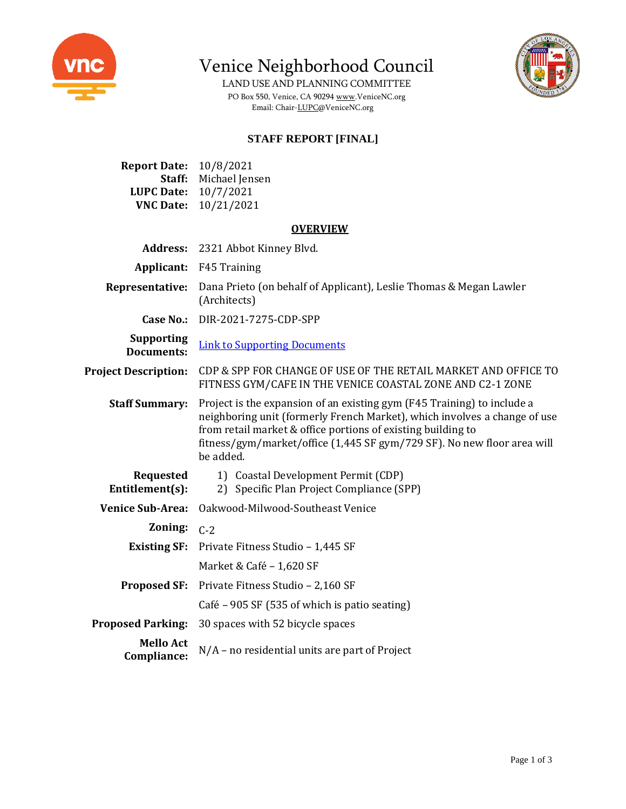

**Report Date:** 10/8/2021

Venice Neighborhood Council

LAND USE AND PLANNING COMMITTEE PO Box 550, Venice, CA 9029[4 www.VeniceNC.org](http://www.venicenc.org/) Email: Chair[-LUPC@VeniceNC.org](mailto:LUPC@VeniceNC.org)



## **STAFF REPORT [FINAL]**

| Staff:<br><b>LUPC Date:</b><br><b>VNC Date:</b> | Michael Jensen<br>10/7/2021<br>10/21/2021                                                                                                                                                                                                                                                                    |  |
|-------------------------------------------------|--------------------------------------------------------------------------------------------------------------------------------------------------------------------------------------------------------------------------------------------------------------------------------------------------------------|--|
| <b>OVERVIEW</b>                                 |                                                                                                                                                                                                                                                                                                              |  |
| <b>Address:</b>                                 | 2321 Abbot Kinney Blvd.                                                                                                                                                                                                                                                                                      |  |
| Applicant:                                      | F45 Training                                                                                                                                                                                                                                                                                                 |  |
| Representative:                                 | Dana Prieto (on behalf of Applicant), Leslie Thomas & Megan Lawler<br>(Architects)                                                                                                                                                                                                                           |  |
| <b>Case No.:</b>                                | DIR-2021-7275-CDP-SPP                                                                                                                                                                                                                                                                                        |  |
| <b>Supporting</b><br><b>Documents:</b>          | <b>Link to Supporting Documents</b>                                                                                                                                                                                                                                                                          |  |
| <b>Project Description:</b>                     | CDP & SPP FOR CHANGE OF USE OF THE RETAIL MARKET AND OFFICE TO<br>FITNESS GYM/CAFE IN THE VENICE COASTAL ZONE AND C2-1 ZONE                                                                                                                                                                                  |  |
| <b>Staff Summary:</b>                           | Project is the expansion of an existing gym (F45 Training) to include a<br>neighboring unit (formerly French Market), which involves a change of use<br>from retail market & office portions of existing building to<br>fitness/gym/market/office (1,445 SF gym/729 SF). No new floor area will<br>be added. |  |
| <b>Requested</b><br>Entitlement(s):             | 1) Coastal Development Permit (CDP)<br>2) Specific Plan Project Compliance (SPP)                                                                                                                                                                                                                             |  |
| <b>Venice Sub-Area:</b>                         | Oakwood-Milwood-Southeast Venice                                                                                                                                                                                                                                                                             |  |
| Zoning:                                         | $C-2$                                                                                                                                                                                                                                                                                                        |  |
| <b>Existing SF:</b>                             | Private Fitness Studio - 1,445 SF                                                                                                                                                                                                                                                                            |  |
|                                                 | Market & Café - 1,620 SF                                                                                                                                                                                                                                                                                     |  |
| <b>Proposed SF:</b>                             | Private Fitness Studio - 2,160 SF                                                                                                                                                                                                                                                                            |  |
|                                                 | Café – 905 SF (535 of which is patio seating)                                                                                                                                                                                                                                                                |  |
| <b>Proposed Parking:</b>                        | 30 spaces with 52 bicycle spaces                                                                                                                                                                                                                                                                             |  |
| <b>Mello Act</b><br>Compliance:                 | $N/A$ – no residential units are part of Project                                                                                                                                                                                                                                                             |  |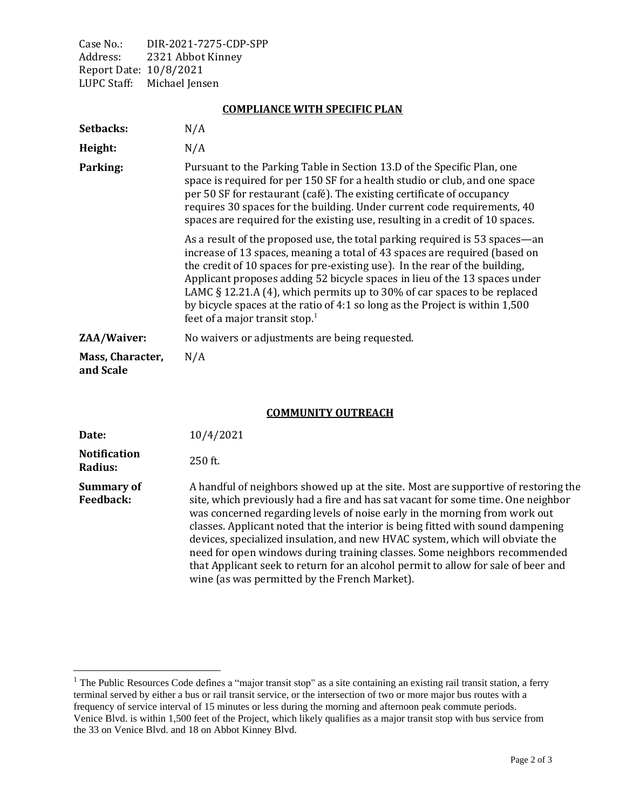Case No.: DIR-2021-7275-CDP-SPP Address: 2321 Abbot Kinney Report Date: 10/8/2021 LUPC Staff: Michael Jensen

## **COMPLIANCE WITH SPECIFIC PLAN**

| Setbacks:                     | N/A                                                                                                                                                                                                                                                                                                                                                                                                                                                                                                                                 |
|-------------------------------|-------------------------------------------------------------------------------------------------------------------------------------------------------------------------------------------------------------------------------------------------------------------------------------------------------------------------------------------------------------------------------------------------------------------------------------------------------------------------------------------------------------------------------------|
| Height:                       | N/A                                                                                                                                                                                                                                                                                                                                                                                                                                                                                                                                 |
| Parking:                      | Pursuant to the Parking Table in Section 13.D of the Specific Plan, one<br>space is required for per 150 SF for a health studio or club, and one space<br>per 50 SF for restaurant (café). The existing certificate of occupancy<br>requires 30 spaces for the building. Under current code requirements, 40<br>spaces are required for the existing use, resulting in a credit of 10 spaces.                                                                                                                                       |
|                               | As a result of the proposed use, the total parking required is 53 spaces—an<br>increase of 13 spaces, meaning a total of 43 spaces are required (based on<br>the credit of 10 spaces for pre-existing use). In the rear of the building,<br>Applicant proposes adding 52 bicycle spaces in lieu of the 13 spaces under<br>LAMC $\S$ 12.21.A (4), which permits up to 30% of car spaces to be replaced<br>by bicycle spaces at the ratio of 4:1 so long as the Project is within 1,500<br>feet of a major transit stop. <sup>1</sup> |
| ZAA/Waiver:                   | No waivers or adjustments are being requested.                                                                                                                                                                                                                                                                                                                                                                                                                                                                                      |
| Mass, Character,<br>and Scale | N/A                                                                                                                                                                                                                                                                                                                                                                                                                                                                                                                                 |

## **COMMUNITY OUTREACH**

| Date:                                 | 10/4/2021                                                                                                                                                                                                                                                                                                                                                                                                                                                                                                                                                                                                                                  |
|---------------------------------------|--------------------------------------------------------------------------------------------------------------------------------------------------------------------------------------------------------------------------------------------------------------------------------------------------------------------------------------------------------------------------------------------------------------------------------------------------------------------------------------------------------------------------------------------------------------------------------------------------------------------------------------------|
| <b>Notification</b><br>Radius:        | $250$ ft.                                                                                                                                                                                                                                                                                                                                                                                                                                                                                                                                                                                                                                  |
| <b>Summary of</b><br><b>Feedback:</b> | A handful of neighbors showed up at the site. Most are supportive of restoring the<br>site, which previously had a fire and has sat vacant for some time. One neighbor<br>was concerned regarding levels of noise early in the morning from work out<br>classes. Applicant noted that the interior is being fitted with sound dampening<br>devices, specialized insulation, and new HVAC system, which will obviate the<br>need for open windows during training classes. Some neighbors recommended<br>that Applicant seek to return for an alcohol permit to allow for sale of beer and<br>wine (as was permitted by the French Market). |

<sup>&</sup>lt;sup>1</sup> The Public Resources Code defines a "major transit stop" as a site containing an existing rail transit station, a ferry terminal served by either a bus or rail transit service, or the intersection of two or more major bus routes with a frequency of service interval of 15 minutes or less during the morning and afternoon peak commute periods. Venice Blvd. is within 1,500 feet of the Project, which likely qualifies as a major transit stop with bus service from the 33 on Venice Blvd. and 18 on Abbot Kinney Blvd.